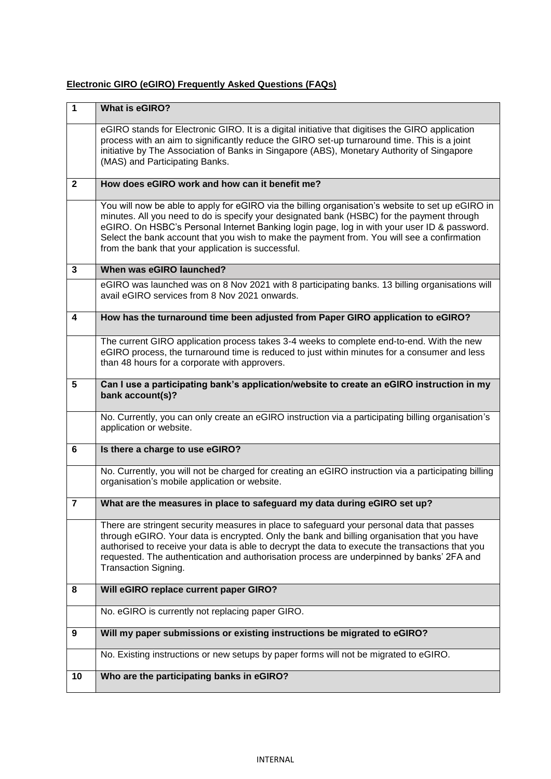## **Electronic GIRO (eGIRO) Frequently Asked Questions (FAQs)**

| $\mathbf{1}$            | What is eGIRO?                                                                                                                                                                                                                                                                                                                                                                                                                                      |  |  |  |  |  |
|-------------------------|-----------------------------------------------------------------------------------------------------------------------------------------------------------------------------------------------------------------------------------------------------------------------------------------------------------------------------------------------------------------------------------------------------------------------------------------------------|--|--|--|--|--|
|                         | eGIRO stands for Electronic GIRO. It is a digital initiative that digitises the GIRO application<br>process with an aim to significantly reduce the GIRO set-up turnaround time. This is a joint<br>initiative by The Association of Banks in Singapore (ABS), Monetary Authority of Singapore<br>(MAS) and Participating Banks.                                                                                                                    |  |  |  |  |  |
| $\overline{2}$          | How does eGIRO work and how can it benefit me?                                                                                                                                                                                                                                                                                                                                                                                                      |  |  |  |  |  |
|                         | You will now be able to apply for eGIRO via the billing organisation's website to set up eGIRO in<br>minutes. All you need to do is specify your designated bank (HSBC) for the payment through<br>eGIRO. On HSBC's Personal Internet Banking login page, log in with your user ID & password.<br>Select the bank account that you wish to make the payment from. You will see a confirmation<br>from the bank that your application is successful. |  |  |  |  |  |
| $\overline{\mathbf{3}}$ | When was eGIRO launched?                                                                                                                                                                                                                                                                                                                                                                                                                            |  |  |  |  |  |
|                         | eGIRO was launched was on 8 Nov 2021 with 8 participating banks. 13 billing organisations will<br>avail eGIRO services from 8 Nov 2021 onwards.                                                                                                                                                                                                                                                                                                     |  |  |  |  |  |
| 4                       | How has the turnaround time been adjusted from Paper GIRO application to eGIRO?                                                                                                                                                                                                                                                                                                                                                                     |  |  |  |  |  |
|                         | The current GIRO application process takes 3-4 weeks to complete end-to-end. With the new<br>eGIRO process, the turnaround time is reduced to just within minutes for a consumer and less<br>than 48 hours for a corporate with approvers.                                                                                                                                                                                                          |  |  |  |  |  |
| 5                       | Can I use a participating bank's application/website to create an eGIRO instruction in my<br>bank account(s)?                                                                                                                                                                                                                                                                                                                                       |  |  |  |  |  |
|                         | No. Currently, you can only create an eGIRO instruction via a participating billing organisation's<br>application or website.                                                                                                                                                                                                                                                                                                                       |  |  |  |  |  |
| 6                       | Is there a charge to use eGIRO?                                                                                                                                                                                                                                                                                                                                                                                                                     |  |  |  |  |  |
|                         | No. Currently, you will not be charged for creating an eGIRO instruction via a participating billing<br>organisation's mobile application or website.                                                                                                                                                                                                                                                                                               |  |  |  |  |  |
| $\overline{7}$          | What are the measures in place to safeguard my data during eGIRO set up?                                                                                                                                                                                                                                                                                                                                                                            |  |  |  |  |  |
|                         | There are stringent security measures in place to safeguard your personal data that passes<br>through eGIRO. Your data is encrypted. Only the bank and billing organisation that you have<br>authorised to receive your data is able to decrypt the data to execute the transactions that you<br>requested. The authentication and authorisation process are underpinned by banks' 2FA and<br>Transaction Signing.                                  |  |  |  |  |  |
| 8                       | Will eGIRO replace current paper GIRO?                                                                                                                                                                                                                                                                                                                                                                                                              |  |  |  |  |  |
|                         | No. eGIRO is currently not replacing paper GIRO.                                                                                                                                                                                                                                                                                                                                                                                                    |  |  |  |  |  |
| 9                       | Will my paper submissions or existing instructions be migrated to eGIRO?                                                                                                                                                                                                                                                                                                                                                                            |  |  |  |  |  |
|                         | No. Existing instructions or new setups by paper forms will not be migrated to eGIRO.                                                                                                                                                                                                                                                                                                                                                               |  |  |  |  |  |
| 10                      | Who are the participating banks in eGIRO?                                                                                                                                                                                                                                                                                                                                                                                                           |  |  |  |  |  |